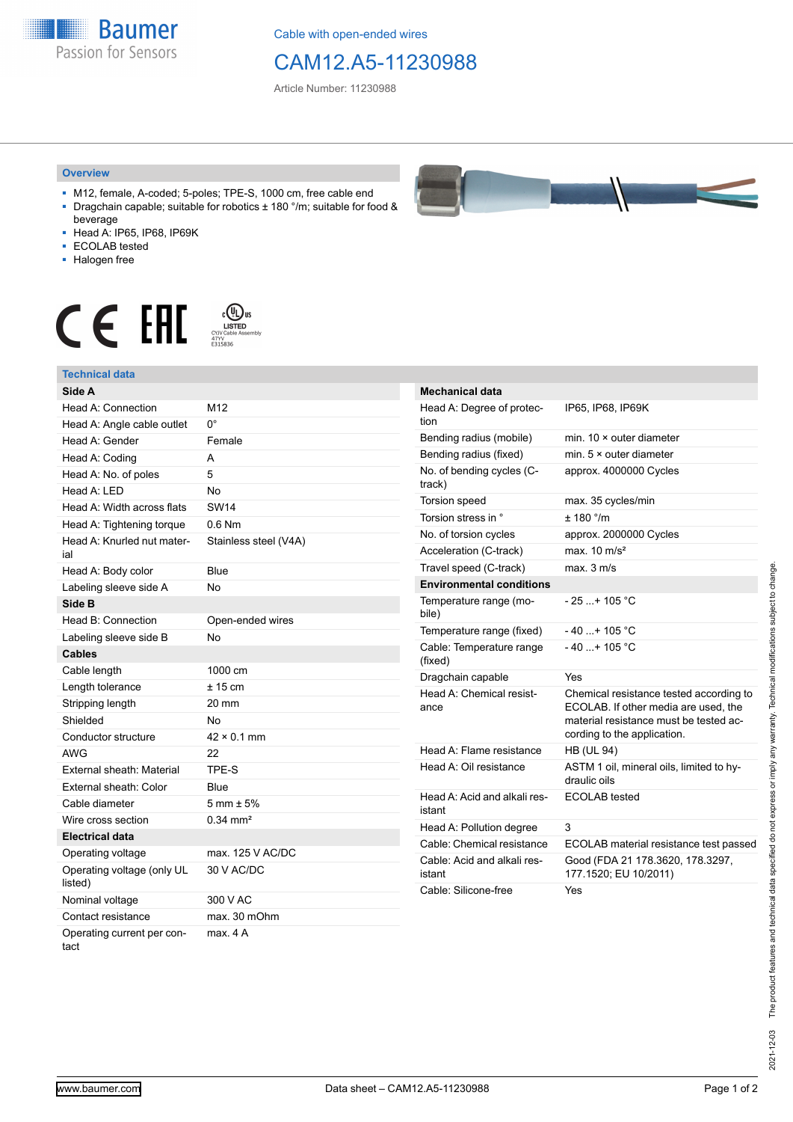**Baumer** Passion for Sensors

Cable with open-ended wires

## CAM12.A5-11230988

Article Number: 11230988

## **Overview**

- M12, female, A-coded; 5-poles; TPE-S, 1000 cm, free cable end ■ Dragchain capable; suitable for robotics ± 180 °/m; suitable for food &
- beverage ■ Head A: IP65, IP68, IP69K
- ECOLAB tested
- Halogen free
- 

## $\begin{array}{ccc} \textbf{C} & \textbf{F} & \overset{\text{\tiny (C)}}{\underset{\text{CIVCable Asomby}}{\text{LSPID}}} \end{array}$

| <b>Technical data</b>                 |                        |
|---------------------------------------|------------------------|
| Side A                                |                        |
| Head A: Connection                    | M12                    |
| Head A: Angle cable outlet            | 0°                     |
| Head A: Gender                        | Female                 |
| Head A: Coding                        | A                      |
| Head A: No. of poles                  | 5                      |
| Head A: LED                           | <b>No</b>              |
| Head A: Width across flats            | <b>SW14</b>            |
| Head A: Tightening torque             | $0.6$ Nm               |
| Head A: Knurled nut mater-<br>ial     | Stainless steel (V4A)  |
| Head A: Body color                    | Blue                   |
| Labeling sleeve side A                | No                     |
| Side B                                |                        |
| Head B: Connection                    | Open-ended wires       |
| Labeling sleeve side B                | <b>No</b>              |
| <b>Cables</b>                         |                        |
| Cable length                          | 1000 cm                |
| Length tolerance                      | $± 15$ cm              |
| Stripping length                      | 20 mm                  |
| Shielded                              | Nο                     |
| Conductor structure                   | $42 \times 0.1$ mm     |
| AWG                                   | 22                     |
| External sheath: Material             | TPE-S                  |
| External sheath: Color                | Blue                   |
| Cable diameter                        | $5 \text{ mm} \pm 5\%$ |
| Wire cross section                    | $0.34$ mm <sup>2</sup> |
| <b>Electrical data</b>                |                        |
| Operating voltage                     | max. 125 V AC/DC       |
| Operating voltage (only UL<br>listed) | 30 V AC/DC             |
| Nominal voltage                       | 300 V AC               |
| Contact resistance                    | max. 30 mOhm           |
| Operating current per con-<br>tact    | max. 4 A               |



| <b>Mechanical data</b>                 |                                                                                                                                                          |
|----------------------------------------|----------------------------------------------------------------------------------------------------------------------------------------------------------|
| Head A: Degree of protec-<br>tion      | IP65, IP68, IP69K                                                                                                                                        |
| Bending radius (mobile)                | min. $10 \times$ outer diameter                                                                                                                          |
| Bending radius (fixed)                 | min. $5 \times$ outer diameter                                                                                                                           |
| No. of bending cycles (C-<br>track)    | approx. 4000000 Cycles                                                                                                                                   |
| <b>Torsion speed</b>                   | max. 35 cycles/min                                                                                                                                       |
| Torsion stress in °                    | ± 180 °/m                                                                                                                                                |
| No. of torsion cycles                  | approx. 2000000 Cycles                                                                                                                                   |
| Acceleration (C-track)                 | max. $10 \text{ m/s}^2$                                                                                                                                  |
| Travel speed (C-track)                 | max. 3 m/s                                                                                                                                               |
| <b>Environmental conditions</b>        |                                                                                                                                                          |
| Temperature range (mo-<br>bile)        | - 25 + 105 °C                                                                                                                                            |
| Temperature range (fixed)              | $-40+105 °C$                                                                                                                                             |
| Cable: Temperature range<br>(fixed)    | - 40 + 105 °C                                                                                                                                            |
| Dragchain capable                      | Yes                                                                                                                                                      |
| Head A: Chemical resist-<br>ance       | Chemical resistance tested according to<br>ECOLAB. If other media are used, the<br>material resistance must be tested ac-<br>cording to the application. |
| Head A: Flame resistance               | <b>HB (UL 94)</b>                                                                                                                                        |
| Head A: Oil resistance                 | ASTM 1 oil, mineral oils, limited to hy-<br>draulic oils                                                                                                 |
| Head A: Acid and alkali res-<br>istant | ECOLAB tested                                                                                                                                            |
| Head A: Pollution degree               | 3                                                                                                                                                        |
| Cable: Chemical resistance             | ECOLAB material resistance test passed                                                                                                                   |
| Cable: Acid and alkali res-<br>istant  | Good (FDA 21 178.3620, 178.3297,<br>177.1520; EU 10/2011)                                                                                                |
| Cable: Silicone-free                   | Yes                                                                                                                                                      |